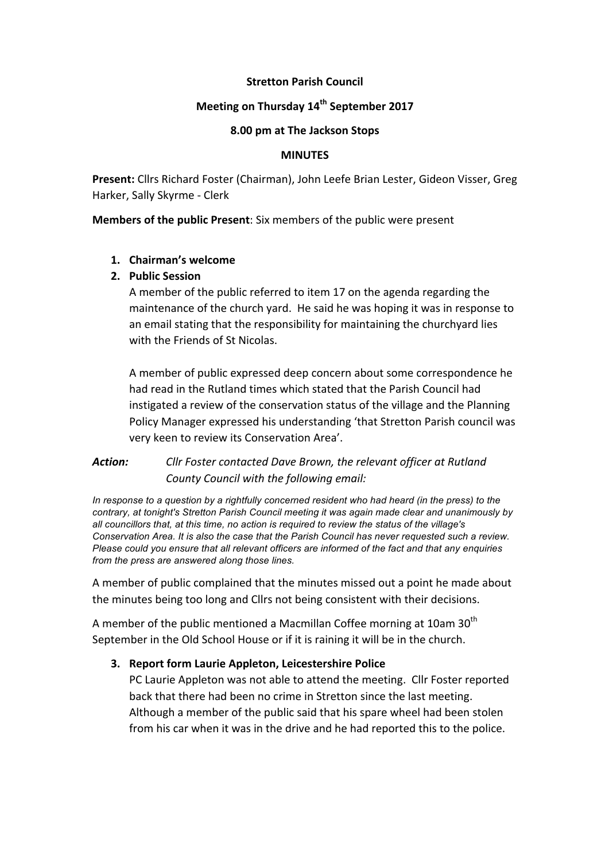## **Stretton Parish Council**

# **Meeting on Thursday 14<sup>th</sup> September 2017**

#### **8.00 pm at The Jackson Stops**

#### **MINUTES**

Present: Cllrs Richard Foster (Chairman), John Leefe Brian Lester, Gideon Visser, Greg Harker, Sally Skyrme - Clerk

**Members of the public Present:** Six members of the public were present

## **1. Chairman's welcome**

## **2. Public Session**

A member of the public referred to item 17 on the agenda regarding the maintenance of the church yard. He said he was hoping it was in response to an email stating that the responsibility for maintaining the churchyard lies with the Friends of St Nicolas.

A member of public expressed deep concern about some correspondence he had read in the Rutland times which stated that the Parish Council had instigated a review of the conservation status of the village and the Planning Policy Manager expressed his understanding 'that Stretton Parish council was very keen to review its Conservation Area'.

# Action: Cllr Foster contacted Dave Brown, the relevant officer at Rutland *County Council with the following email:*

*In response to a question by a rightfully concerned resident who had heard (in the press) to the contrary, at tonight's Stretton Parish Council meeting it was again made clear and unanimously by all councillors that, at this time, no action is required to review the status of the village's Conservation Area. It is also the case that the Parish Council has never requested such a review. Please could you ensure that all relevant officers are informed of the fact and that any enquiries from the press are answered along those lines.*

A member of public complained that the minutes missed out a point he made about the minutes being too long and Cllrs not being consistent with their decisions.

A member of the public mentioned a Macmillan Coffee morning at 10am 30<sup>th</sup> September in the Old School House or if it is raining it will be in the church.

# **3.** Report form Laurie Appleton, Leicestershire Police

PC Laurie Appleton was not able to attend the meeting. Cllr Foster reported back that there had been no crime in Stretton since the last meeting. Although a member of the public said that his spare wheel had been stolen from his car when it was in the drive and he had reported this to the police.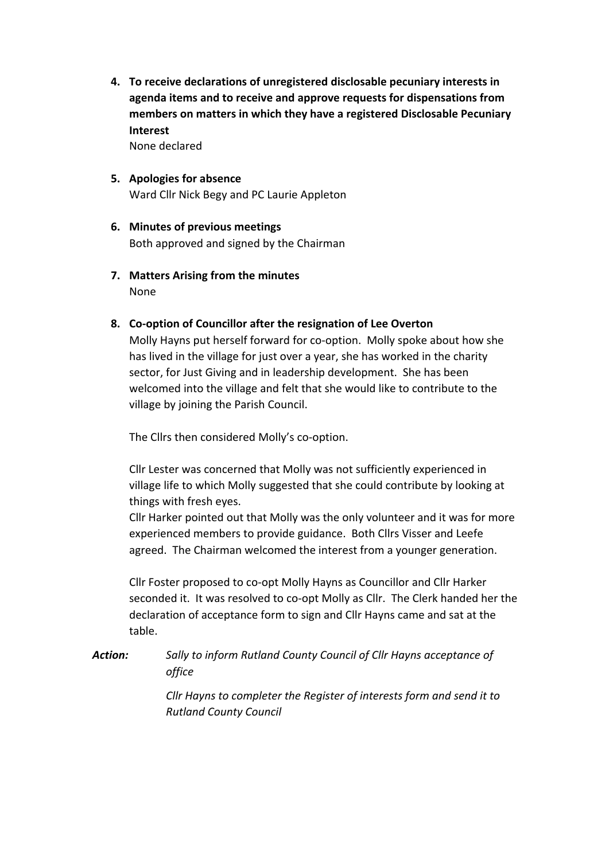**4.** To receive declarations of unregistered disclosable pecuniary interests in agenda items and to receive and approve requests for dispensations from members on matters in which they have a registered Disclosable Pecuniary **Interest**

None declared

- **5.** Apologies for absence Ward Cllr Nick Begy and PC Laurie Appleton
- **6. Minutes of previous meetings** Both approved and signed by the Chairman
- **7. Matters Arising from the minutes** None
- 8. Co-option of Councillor after the resignation of Lee Overton

Molly Hayns put herself forward for co-option. Molly spoke about how she has lived in the village for just over a year, she has worked in the charity sector, for Just Giving and in leadership development. She has been welcomed into the village and felt that she would like to contribute to the village by joining the Parish Council.

The Cllrs then considered Molly's co-option.

Cllr Lester was concerned that Molly was not sufficiently experienced in village life to which Molly suggested that she could contribute by looking at things with fresh eyes.

Cllr Harker pointed out that Molly was the only volunteer and it was for more experienced members to provide guidance. Both Cllrs Visser and Leefe agreed. The Chairman welcomed the interest from a younger generation.

Cllr Foster proposed to co-opt Molly Hayns as Councillor and Cllr Harker seconded it. It was resolved to co-opt Molly as Cllr. The Clerk handed her the declaration of acceptance form to sign and Cllr Hayns came and sat at the table.

**Action:** Sally to inform Rutland County Council of Cllr Hayns acceptance of *office*

> *Cllr* Hayns to completer the Register of interests form and send it to *Rutland County Council*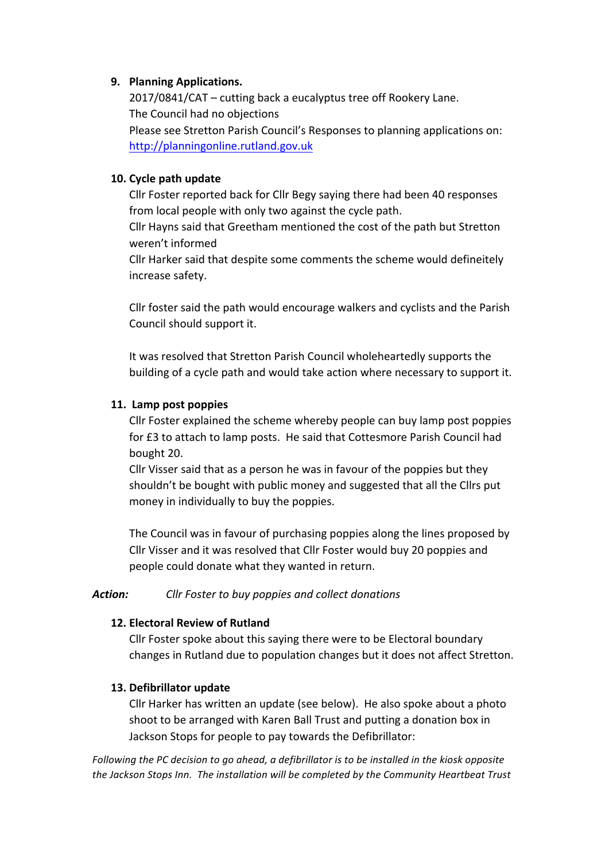## **9. Planning Applications.**

 $2017/0841/CAT -$  cutting back a eucalyptus tree off Rookery Lane. The Council had no objections Please see Stretton Parish Council's Responses to planning applications on: http://planningonline.rutland.gov.uk

## **10. Cycle path update**

Cllr Foster reported back for Cllr Begy saying there had been 40 responses from local people with only two against the cycle path.

Cllr Hayns said that Greetham mentioned the cost of the path but Stretton weren't informed

Cllr Harker said that despite some comments the scheme would defineitely increase safety.

Cllr foster said the path would encourage walkers and cyclists and the Parish Council should support it.

It was resolved that Stretton Parish Council wholeheartedly supports the building of a cycle path and would take action where necessary to support it.

## 11. Lamp post poppies

Cllr Foster explained the scheme whereby people can buy lamp post poppies for £3 to attach to lamp posts. He said that Cottesmore Parish Council had bought 20.

Cllr Visser said that as a person he was in favour of the poppies but they shouldn't be bought with public money and suggested that all the Cllrs put money in individually to buy the poppies.

The Council was in favour of purchasing poppies along the lines proposed by Cllr Visser and it was resolved that Cllr Foster would buy 20 poppies and people could donate what they wanted in return.

### Action: Cllr Foster to buy poppies and collect donations

# **12. Electoral Review of Rutland**

Cllr Foster spoke about this saying there were to be Electoral boundary changes in Rutland due to population changes but it does not affect Stretton.

# **13. Defibrillator update**

Cllr Harker has written an update (see below). He also spoke about a photo shoot to be arranged with Karen Ball Trust and putting a donation box in Jackson Stops for people to pay towards the Defibrillator:

*Following* the PC decision to go ahead, a defibrillator is to be installed in the kiosk opposite the Jackson Stops Inn. The installation will be completed by the Community Heartbeat Trust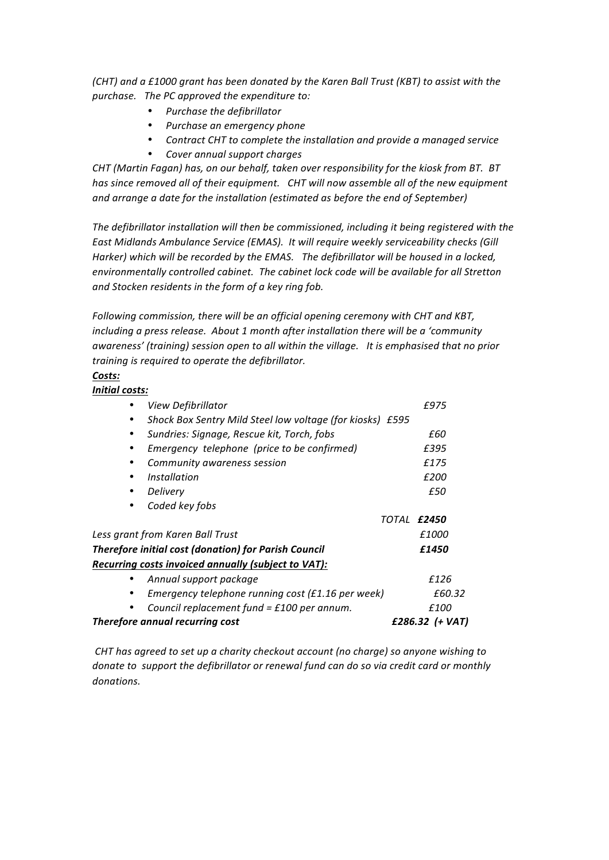*(CHT)* and a £1000 grant has been donated by the Karen Ball Trust (KBT) to assist with the purchase. The PC approved the expenditure to:

- *Purchase the defibrillator*
- *Purchase an emergency phone*
- Contract CHT to complete the installation and provide a managed service
- *Cover annual support charges*

*CHT* (Martin Fagan) has, on our behalf, taken over responsibility for the kiosk from BT. BT has since removed all of their equipment. CHT will now assemble all of the new equipment and arrange a date for the installation (estimated as before the end of September)

The defibrillator installation will then be commissioned, including it being registered with the East Midlands Ambulance Service (EMAS). It will require weekly serviceability checks (Gill Harker) which will be recorded by the EMAS. The defibrillator will be housed in a locked, environmentally controlled cabinet. The cabinet lock code will be available for all Stretton and Stocken residents in the form of a key ring fob.

*Following commission, there will be an official opening ceremony with CHT and KBT, including a press release. About 1 month after installation there will be a 'community* awareness' (training) session open to all within the village. It is emphasised that no prior *training is required to operate the defibrillator.* 

#### *Costs:*

*Initial costs:*

|                                                             | View Defibrillator                                        | £975            |
|-------------------------------------------------------------|-----------------------------------------------------------|-----------------|
|                                                             | Shock Box Sentry Mild Steel low voltage (for kiosks) £595 |                 |
| $\bullet$                                                   | Sundries: Signage, Rescue kit, Torch, fobs                | £60             |
|                                                             | Emergency telephone (price to be confirmed)               | £395            |
|                                                             | Community awareness session                               | £175            |
| ٠                                                           | Installation                                              | £200            |
|                                                             | Delivery                                                  | £50             |
|                                                             | Coded key fobs                                            |                 |
|                                                             |                                                           | TOTAL £2450     |
| Less grant from Karen Ball Trust                            |                                                           | £1000           |
| <b>Therefore initial cost (donation) for Parish Council</b> |                                                           | £1450           |
|                                                             | Recurring costs invoiced annually (subject to VAT):       |                 |
|                                                             | Annual support package                                    | £126            |
| $\bullet$                                                   | Emergency telephone running cost (£1.16 per week)         | £60.32          |
|                                                             | Council replacement fund = $£100$ per annum.              | £100            |
| Therefore annual recurring cost                             |                                                           | £286.32 (+ VAT) |

*CHT* has agreed to set up a charity checkout account (no charge) so anyone wishing to *donate to support the defibrillator or renewal fund can do so via credit card or monthly donations.*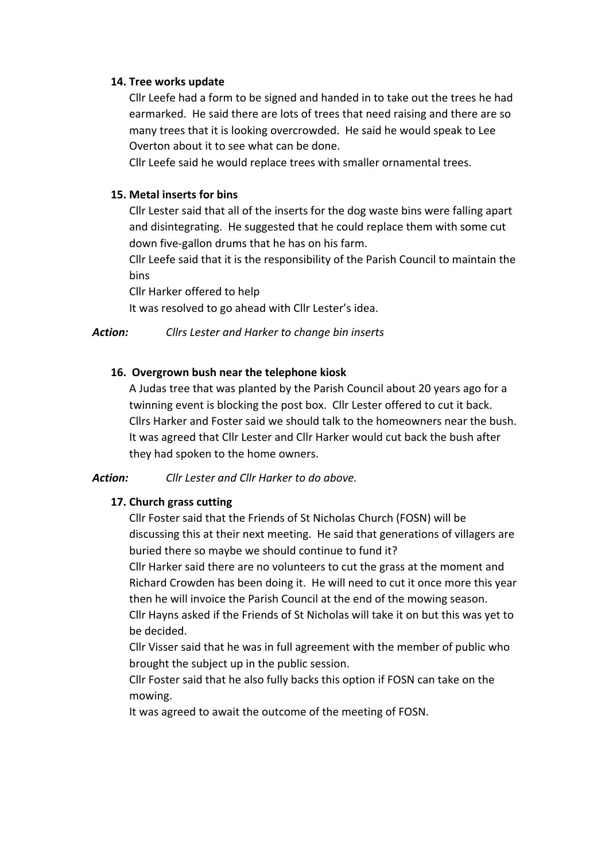### **14. Tree works update**

Cllr Leefe had a form to be signed and handed in to take out the trees he had earmarked. He said there are lots of trees that need raising and there are so many trees that it is looking overcrowded. He said he would speak to Lee Overton about it to see what can be done.

Cllr Leefe said he would replace trees with smaller ornamental trees.

## **15. Metal inserts for bins**

Cllr Lester said that all of the inserts for the dog waste bins were falling apart and disintegrating. He suggested that he could replace them with some cut down five-gallon drums that he has on his farm.

Cllr Leefe said that it is the responsibility of the Parish Council to maintain the bins

Cllr Harker offered to help

It was resolved to go ahead with Cllr Lester's idea.

### Action: Cllrs Lester and Harker to change bin inserts

## 16. Overgrown bush near the telephone kiosk

A Judas tree that was planted by the Parish Council about 20 years ago for a twinning event is blocking the post box. Cllr Lester offered to cut it back. Cllrs Harker and Foster said we should talk to the homeowners near the bush. It was agreed that Cllr Lester and Cllr Harker would cut back the bush after they had spoken to the home owners.

### **Action:** *Cllr Lester and Cllr Harker to do above.*

### **17. Church grass cutting**

Cllr Foster said that the Friends of St Nicholas Church (FOSN) will be discussing this at their next meeting. He said that generations of villagers are buried there so maybe we should continue to fund it?

Cllr Harker said there are no volunteers to cut the grass at the moment and Richard Crowden has been doing it. He will need to cut it once more this year then he will invoice the Parish Council at the end of the mowing season. Cllr Hayns asked if the Friends of St Nicholas will take it on but this was yet to be decided.

Cllr Visser said that he was in full agreement with the member of public who brought the subject up in the public session.

Cllr Foster said that he also fully backs this option if FOSN can take on the mowing.

It was agreed to await the outcome of the meeting of FOSN.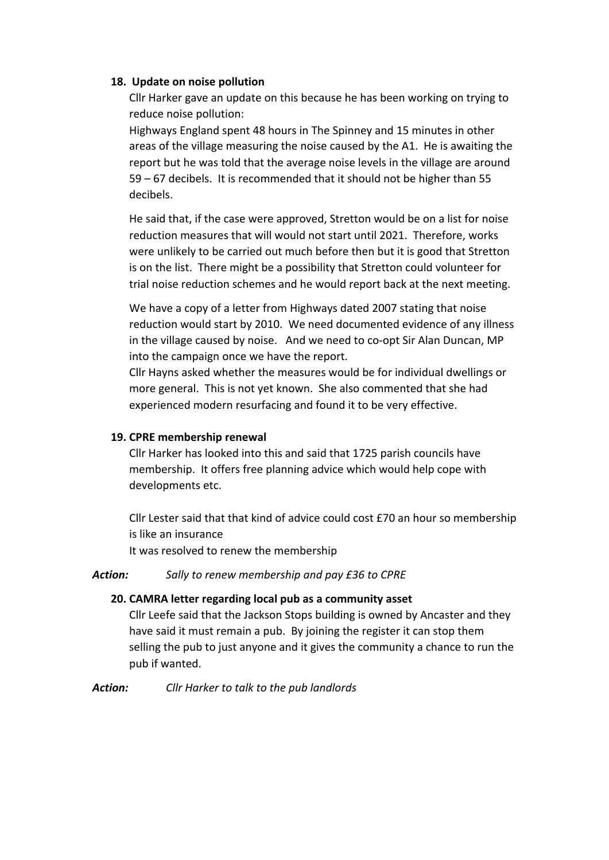#### 18. Update on noise pollution

Cllr Harker gave an update on this because he has been working on trying to reduce noise pollution:

Highways England spent 48 hours in The Spinney and 15 minutes in other areas of the village measuring the noise caused by the A1. He is awaiting the report but he was told that the average noise levels in the village are around 59 – 67 decibels. It is recommended that it should not be higher than 55 decibels.

He said that, if the case were approved, Stretton would be on a list for noise reduction measures that will would not start until 2021. Therefore, works were unlikely to be carried out much before then but it is good that Stretton is on the list. There might be a possibility that Stretton could volunteer for trial noise reduction schemes and he would report back at the next meeting.

We have a copy of a letter from Highways dated 2007 stating that noise reduction would start by 2010. We need documented evidence of any illness in the village caused by noise. And we need to co-opt Sir Alan Duncan, MP into the campaign once we have the report.

Cllr Hayns asked whether the measures would be for individual dwellings or more general. This is not yet known. She also commented that she had experienced modern resurfacing and found it to be very effective.

### **19. CPRE membership renewal**

Cllr Harker has looked into this and said that 1725 parish councils have membership. It offers free planning advice which would help cope with developments etc.

Cllr Lester said that that kind of advice could cost £70 an hour so membership is like an insurance

It was resolved to renew the membership

#### Action: Sally to renew membership and pay £36 to CPRE

### **20. CAMRA letter regarding local pub as a community asset**

Cllr Leefe said that the Jackson Stops building is owned by Ancaster and they have said it must remain a pub. By joining the register it can stop them selling the pub to just anyone and it gives the community a chance to run the pub if wanted.

#### Action: Cllr Harker to talk to the pub landlords